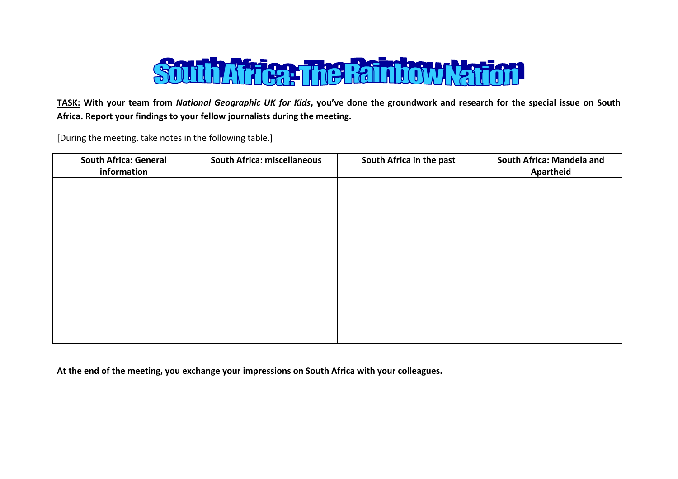

**TASK: With your team from** *National Geographic UK for Kids***, you've done the groundwork and research for the special issue on South Africa. Report your findings to your fellow journalists during the meeting.**

[During the meeting, take notes in the following table.]

| <b>South Africa: General</b><br>information | <b>South Africa: miscellaneous</b> | South Africa in the past | South Africa: Mandela and<br><b>Apartheid</b> |
|---------------------------------------------|------------------------------------|--------------------------|-----------------------------------------------|
|                                             |                                    |                          |                                               |
|                                             |                                    |                          |                                               |
|                                             |                                    |                          |                                               |
|                                             |                                    |                          |                                               |
|                                             |                                    |                          |                                               |
|                                             |                                    |                          |                                               |
|                                             |                                    |                          |                                               |

**At the end of the meeting, you exchange your impressions on South Africa with your colleagues.**